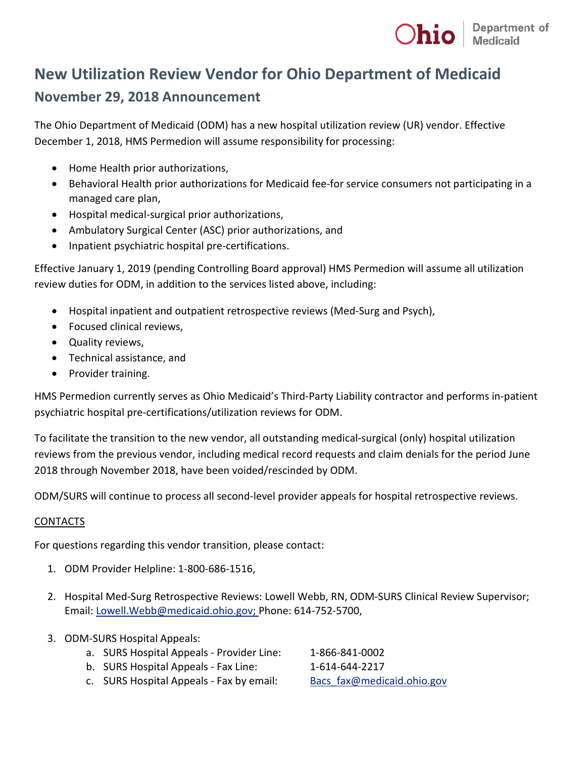

## **New Utilization Review Vendor for Ohio Department of Medicaid November 29, 2018 Announcement**

The Ohio Department of Medicaid (ODM) has a new hospital utilization review (UR) vendor. Effective December 1, 2018, HMS Permedion will assume responsibility for processing:

- Home Health prior authorizations,
- Behavioral Health prior authorizations for Medicaid fee-for service consumers not participating in a managed care plan,
- Hospital medical-surgical prior authorizations,
- Ambulatory Surgical Center (ASC) prior authorizations, and
- Inpatient psychiatric hospital pre-certifications.

Effective January 1, 2019 (pending Controlling Board approval) HMS Permedion will assume all utilization review duties for ODM, in addition to the services listed above, including:

- Hospital inpatient and outpatient retrospective reviews (Med-Surg and Psych),
- Focused clinical reviews,
- Quality reviews,
- Technical assistance, and
- Provider training.

HMS Permedion currently serves as Ohio Medicaid's Third-Party Liability contractor and performs in-patient psychiatric hospital pre-certifications/utilization reviews for ODM.

To facilitate the transition to the new vendor, all outstanding medical-surgical (only) hospital utilization reviews from the previous vendor, including medical record requests and claim denials for the period June 2018 through November 2018, have been voided/rescinded by ODM.

ODM/SURS will continue to process all second-level provider appeals for hospital retrospective reviews.

## CONTACTS

For questions regarding this vendor transition, please contact:

- 1. ODM Provider Helpline: 1-800-686-1516,
- 2. Hospital Med-Surg Retrospective Reviews: Lowell Webb, RN, ODM-SURS Clinical Review Supervisor; Email: [Lowell.Webb@medicaid.ohio.gov;](mailto:Lowell.Webb@medicaid.ohio.gov) Phone: 614-752-5700,
- 3. ODM-SURS Hospital Appeals:
	- a. SURS Hospital Appeals Provider Line: 1-866-841-0002
	- b. SURS Hospital Appeals Fax Line: 1-614-644-2217

- c. SURS Hospital Appeals Fax by email: Bacs fax@medicaid.ohio.gov
-